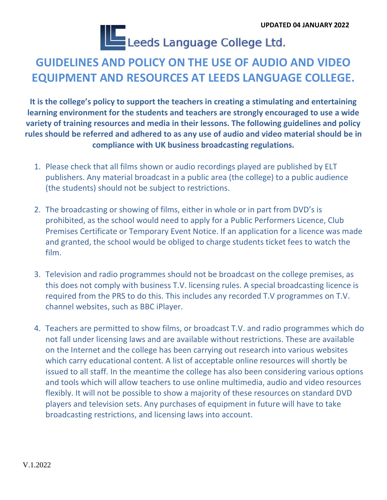**UPDATED 04 JANUARY 2022**<br>Leeds Language College Ltd.

## **GUIDELINES AND POLICY ON THE USE OF AUDIO AND VIDEO EQUIPMENT AND RESOURCES AT LEEDS LANGUAGE COLLEGE.**

**It is the college's policy to support the teachers in creating a stimulating and entertaining learning environment for the students and teachers are strongly encouraged to use a wide variety of training resources and media in their lessons. The following guidelines and policy rules should be referred and adhered to as any use of audio and video material should be in compliance with UK business broadcasting regulations.**

- 1. Please check that all films shown or audio recordings played are published by ELT publishers. Any material broadcast in a public area (the college) to a public audience (the students) should not be subject to restrictions.
- 2. The broadcasting or showing of films, either in whole or in part from DVD's is prohibited, as the school would need to apply for a Public Performers Licence, Club Premises Certificate or Temporary Event Notice. If an application for a licence was made and granted, the school would be obliged to charge students ticket fees to watch the film.
- 3. Television and radio programmes should not be broadcast on the college premises, as this does not comply with business T.V. licensing rules. A special broadcasting licence is required from the PRS to do this. This includes any recorded T.V programmes on T.V. channel websites, such as BBC iPlayer.
- 4. Teachers are permitted to show films, or broadcast T.V. and radio programmes which do not fall under licensing laws and are available without restrictions. These are available on the Internet and the college has been carrying out research into various websites which carry educational content. A list of acceptable online resources will shortly be issued to all staff. In the meantime the college has also been considering various options and tools which will allow teachers to use online multimedia, audio and video resources flexibly. It will not be possible to show a majority of these resources on standard DVD players and television sets. Any purchases of equipment in future will have to take broadcasting restrictions, and licensing laws into account.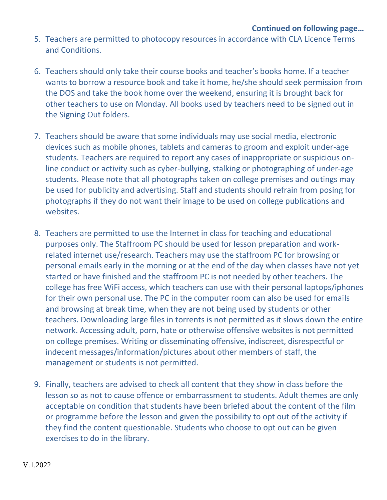- 5. Teachers are permitted to photocopy resources in accordance with CLA Licence Terms and Conditions.
- 6. Teachers should only take their course books and teacher's books home. If a teacher wants to borrow a resource book and take it home, he/she should seek permission from the DOS and take the book home over the weekend, ensuring it is brought back for other teachers to use on Monday. All books used by teachers need to be signed out in the Signing Out folders.
- 7. Teachers should be aware that some individuals may use social media, electronic devices such as mobile phones, tablets and cameras to groom and exploit under-age students. Teachers are required to report any cases of inappropriate or suspicious online conduct or activity such as cyber-bullying, stalking or photographing of under-age students. Please note that all photographs taken on college premises and outings may be used for publicity and advertising. Staff and students should refrain from posing for photographs if they do not want their image to be used on college publications and websites.
- 8. Teachers are permitted to use the Internet in class for teaching and educational purposes only. The Staffroom PC should be used for lesson preparation and workrelated internet use/research. Teachers may use the staffroom PC for browsing or personal emails early in the morning or at the end of the day when classes have not yet started or have finished and the staffroom PC is not needed by other teachers. The college has free WiFi access, which teachers can use with their personal laptops/iphones for their own personal use. The PC in the computer room can also be used for emails and browsing at break time, when they are not being used by students or other teachers. Downloading large files in torrents is not permitted as it slows down the entire network. Accessing adult, porn, hate or otherwise offensive websites is not permitted on college premises. Writing or disseminating offensive, indiscreet, disrespectful or indecent messages/information/pictures about other members of staff, the management or students is not permitted.
- 9. Finally, teachers are advised to check all content that they show in class before the lesson so as not to cause offence or embarrassment to students. Adult themes are only acceptable on condition that students have been briefed about the content of the film or programme before the lesson and given the possibility to opt out of the activity if they find the content questionable. Students who choose to opt out can be given exercises to do in the library.